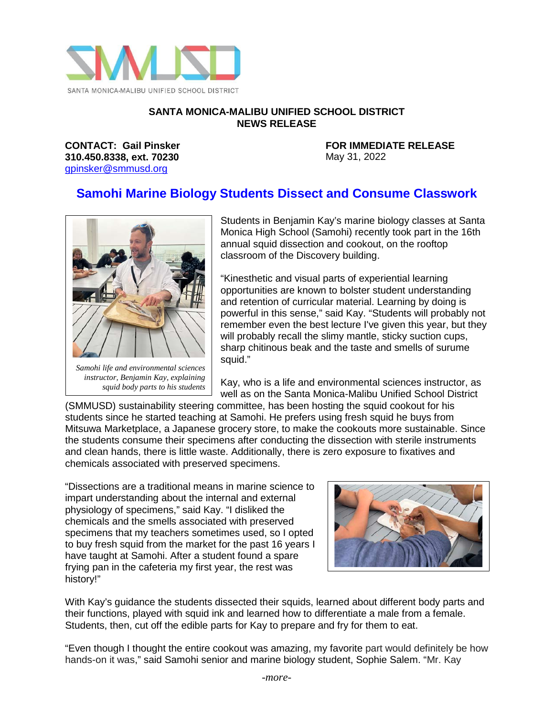

## **SANTA MONICA-MALIBU UNIFIED SCHOOL DISTRICT NEWS RELEASE**

**310.450.8338, ext. 70230** May 31, 2022 [gpinsker@smmusd.org](mailto:gpinsker@smmusd.org)

**CONTACT: Gail Pinsker FOR IMMEDIATE RELEASE**

## **Samohi Marine Biology Students Dissect and Consume Classwork**



*instructor, Benjamin Kay, explaining squid body parts to his students*

Students in Benjamin Kay's marine biology classes at Santa Monica High School (Samohi) recently took part in the 16th annual squid dissection and cookout, on the rooftop classroom of the Discovery building.

"Kinesthetic and visual parts of experiential learning opportunities are known to bolster student understanding and retention of curricular material. Learning by doing is powerful in this sense," said Kay. "Students will probably not remember even the best lecture I've given this year, but they will probably recall the slimy mantle, sticky suction cups, sharp chitinous beak and the taste and smells of surume squid."

Kay, who is a life and environmental sciences instructor, as well as on the Santa Monica-Malibu Unified School District

(SMMUSD) sustainability steering committee, has been hosting the squid cookout for his students since he started teaching at Samohi. He prefers using fresh squid he buys from Mitsuwa Marketplace, a Japanese grocery store, to make the cookouts more sustainable. Since the students consume their specimens after conducting the dissection with sterile instruments and clean hands, there is little waste. Additionally, there is zero exposure to fixatives and chemicals associated with preserved specimens.

"Dissections are a traditional means in marine science to impart understanding about the internal and external physiology of specimens," said Kay. "I disliked the chemicals and the smells associated with preserved specimens that my teachers sometimes used, so I opted to buy fresh squid from the market for the past 16 years I have taught at Samohi. After a student found a spare frying pan in the cafeteria my first year, the rest was history!"



With Kay's guidance the students dissected their squids, learned about different body parts and their functions, played with squid ink and learned how to differentiate a male from a female. Students, then, cut off the edible parts for Kay to prepare and fry for them to eat.

"Even though I thought the entire cookout was amazing, my favorite part would definitely be how hands-on it was," said Samohi senior and marine biology student, Sophie Salem. "Mr. Kay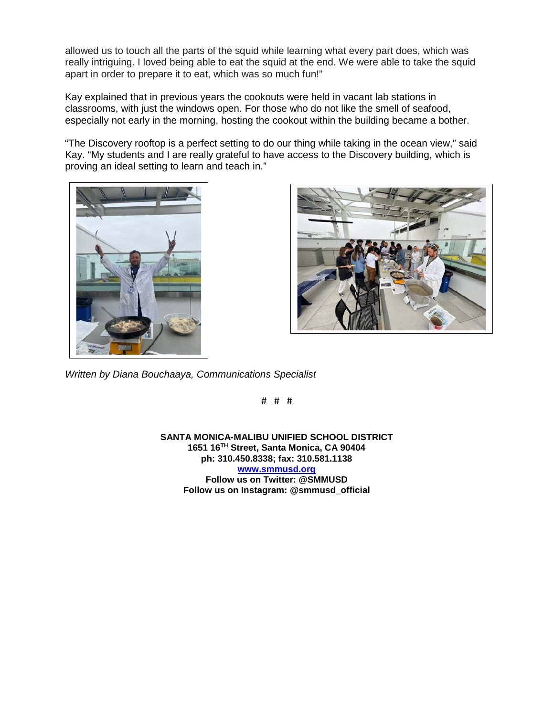allowed us to touch all the parts of the squid while learning what every part does, which was really intriguing. I loved being able to eat the squid at the end. We were able to take the squid apart in order to prepare it to eat, which was so much fun!"

Kay explained that in previous years the cookouts were held in vacant lab stations in classrooms, with just the windows open. For those who do not like the smell of seafood, especially not early in the morning, hosting the cookout within the building became a bother.

"The Discovery rooftop is a perfect setting to do our thing while taking in the ocean view," said Kay. "My students and I are really grateful to have access to the Discovery building, which is proving an ideal setting to learn and teach in."





*Written by Diana Bouchaaya, Communications Specialist*

# # #

**SANTA MONICA-MALIBU UNIFIED SCHOOL DISTRICT 1651 16TH Street, Santa Monica, CA 90404 ph: 310.450.8338; fax: 310.581.1138 [www.smmusd.org](http://www.smmusd.org/)  Follow us on Twitter: @SMMUSD Follow us on Instagram: @smmusd\_official**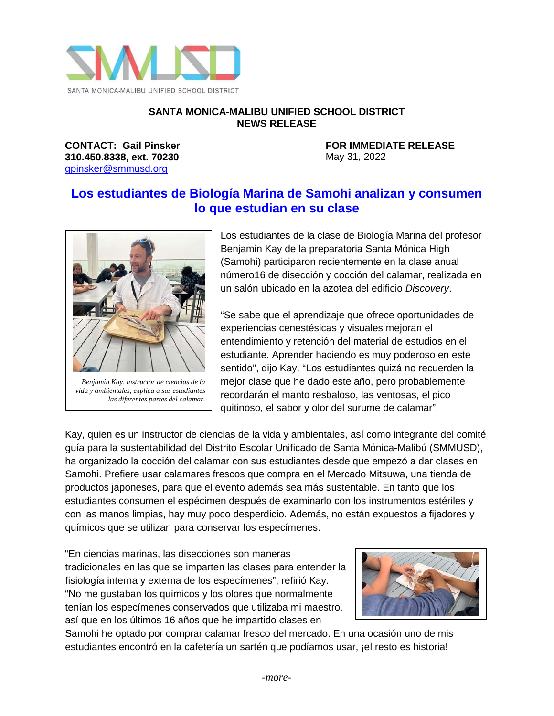

## **SANTA MONICA-MALIBU UNIFIED SCHOOL DISTRICT NEWS RELEASE**

**310.450.8338, ext. 70230** May 31, 2022 [gpinsker@smmusd.org](mailto:gpinsker@smmusd.org)

**CONTACT: Gail Pinsker FOR IMMEDIATE RELEASE**

## **Los estudiantes de Biología Marina de Samohi analizan y consumen lo que estudian en su clase**



*Benjamin Kay, instructor de ciencias de la vida y ambientales, explica a sus estudiantes las diferentes partes del calamar.* Los estudiantes de la clase de Biología Marina del profesor Benjamin Kay de la preparatoria Santa Mónica High (Samohi) participaron recientemente en la clase anual número16 de disección y cocción del calamar, realizada en un salón ubicado en la azotea del edificio *Discovery*.

"Se sabe que el aprendizaje que ofrece oportunidades de experiencias cenestésicas y visuales mejoran el entendimiento y retención del material de estudios en el estudiante. Aprender haciendo es muy poderoso en este sentido", dijo Kay. "Los estudiantes quizá no recuerden la mejor clase que he dado este año, pero probablemente recordarán el manto resbaloso, las ventosas, el pico quitinoso, el sabor y olor del surume de calamar".

Kay, quien es un instructor de ciencias de la vida y ambientales, así como integrante del comité guía para la sustentabilidad del Distrito Escolar Unificado de Santa Mónica-Malibú (SMMUSD), ha organizado la cocción del calamar con sus estudiantes desde que empezó a dar clases en Samohi. Prefiere usar calamares frescos que compra en el Mercado Mitsuwa, una tienda de productos japoneses, para que el evento además sea más sustentable. En tanto que los estudiantes consumen el espécimen después de examinarlo con los instrumentos estériles y con las manos limpias, hay muy poco desperdicio. Además, no están expuestos a fijadores y químicos que se utilizan para conservar los especímenes.

"En ciencias marinas, las disecciones son maneras tradicionales en las que se imparten las clases para entender la fisiología interna y externa de los especímenes", refirió Kay. "No me gustaban los químicos y los olores que normalmente tenían los especímenes conservados que utilizaba mi maestro, así que en los últimos 16 años que he impartido clases en



Samohi he optado por comprar calamar fresco del mercado. En una ocasión uno de mis estudiantes encontró en la cafetería un sartén que podíamos usar, ¡el resto es historia!